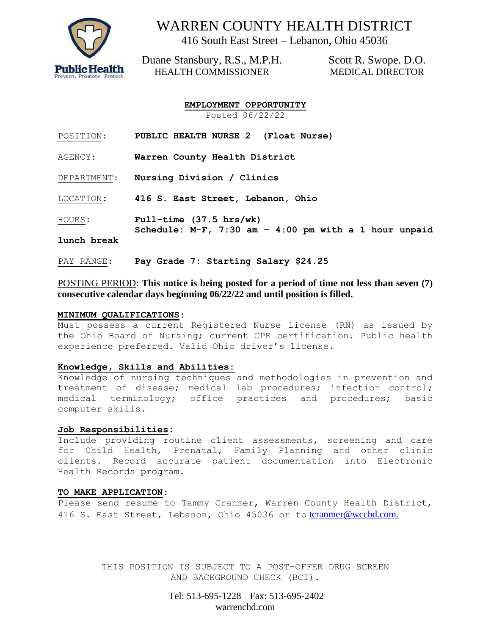

## WARREN COUNTY HEALTH DISTRICT

416 South East Street – Lebanon, Ohio 45036

Duane Stansbury, R.S., M.P.H. HEALTH COMMISSIONER

Scott R. Swope. D.O. MEDICAL DIRECTOR

**EMPLOYMENT OPPORTUNITY** Posted 06/22/22

| POSITION: | <b>PUBLIC HEALTH NURSE 2</b> |  |  |  | (Float Nurse) |  |  |
|-----------|------------------------------|--|--|--|---------------|--|--|
|-----------|------------------------------|--|--|--|---------------|--|--|

AGENCY: **Warren County Health District**

DEPARTMENT: **Nursing Division / Clinics**

LOCATION: **416 S. East Street, Lebanon, Ohio**

HOURS: **Full-time (37.5 hrs/wk)**

**Schedule: M-F, 7:30 am – 4:00 pm with a 1 hour unpaid** 

#### **lunch break**

PAY RANGE: **Pay Grade 7: Starting Salary \$24.25**

#### POSTING PERIOD: **This notice is being posted for a period of time not less than seven (7) consecutive calendar days beginning 06/22/22 and until position is filled.**

#### **MINIMUM QUALIFICATIONS:**

Must possess a current Registered Nurse license (RN) as issued by the Ohio Board of Nursing; current CPR certification. Public health experience preferred. Valid Ohio driver's license.

#### **Knowledge, Skills and Abilities:**

Knowledge of nursing techniques and methodologies in prevention and treatment of disease; medical lab procedures; infection control; medical terminology; office practices and procedures; basic computer skills.

#### **Job Responsibilities:**

Include providing routine client assessments, screening and care for Child Health, Prenatal, Family Planning and other clinic clients. Record accurate patient documentation into Electronic Health Records program.

#### **TO MAKE APPLICATION:**

Please send resume to Tammy Cranmer, Warren County Health District, 416 S. East Street, Lebanon, Ohio 45036 or to [tcranmer@wcchd.com.](mailto:tcranmer@wcchd.com.)

> THIS POSITION IS SUBJECT TO A POST-OFFER DRUG SCREEN AND BACKGROUND CHECK (BCI).

> > Tel: 513-695-1228 Fax: 513-695-2402 warrenchd.com